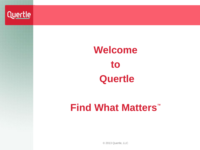

# **Welcome to Quertle**

# **Find What Matters™**

© 2013 Quertle, LLC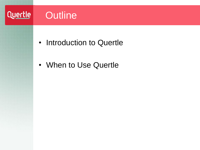## Quertle Outline

- Introduction to Quertle
- When to Use Quertle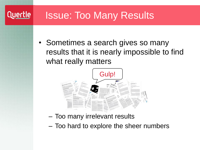## Issue: Too Many Results

Quertle

• Sometimes a search gives so many results that it is nearly impossible to find what really matters



- Too many irrelevant results
- Too hard to explore the sheer numbers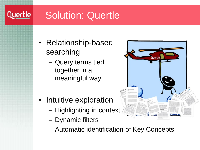## Solution: Quertle

Quertle

- Relationship-based searching
	- Query terms tied together in a meaningful way
- Intuitive exploration
	- Highlighting in context
	- Dynamic filters
	- Automatic identification of Key Concepts

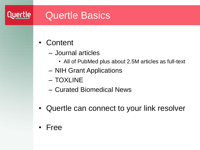#### Quertle Quertle Basics

- Content
	- Journal articles
		- All of PubMed plus about 2.5M articles as full-text
	- NIH Grant Applications
	- TOXLINE
	- Curated Biomedical News
- Quertle can connect to your link resolver
- Free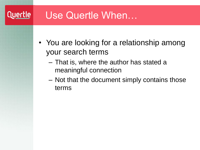### **Quertle**

### Use Quertle When…

- You are looking for a relationship among your search terms
	- That is, where the author has stated a meaningful connection
	- Not that the document simply contains those terms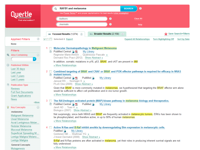| Find what matters™                                                                                                                                                                                                                                                                                                                                                                                                                                                                                                                                                                                | <b>RAFB1</b> and melanoma<br>◉<br><b>SEARCH</b><br>Use Power Terms™ and proper capitalization for best results (view examples)<br><b>Authors</b><br>ℯ<br>Clear All<br><b>Journals</b><br>ℯ<br>Help                                                                                                                                                                                                                                                                                                                                                                                                                                                                                                                                                                                                                                                                                                                                                                                                                                                                                                                                                                                                                                                                                                                                                                                                                                                                                                                                                                                                                                                                                     |
|---------------------------------------------------------------------------------------------------------------------------------------------------------------------------------------------------------------------------------------------------------------------------------------------------------------------------------------------------------------------------------------------------------------------------------------------------------------------------------------------------------------------------------------------------------------------------------------------------|----------------------------------------------------------------------------------------------------------------------------------------------------------------------------------------------------------------------------------------------------------------------------------------------------------------------------------------------------------------------------------------------------------------------------------------------------------------------------------------------------------------------------------------------------------------------------------------------------------------------------------------------------------------------------------------------------------------------------------------------------------------------------------------------------------------------------------------------------------------------------------------------------------------------------------------------------------------------------------------------------------------------------------------------------------------------------------------------------------------------------------------------------------------------------------------------------------------------------------------------------------------------------------------------------------------------------------------------------------------------------------------------------------------------------------------------------------------------------------------------------------------------------------------------------------------------------------------------------------------------------------------------------------------------------------------|
|                                                                                                                                                                                                                                                                                                                                                                                                                                                                                                                                                                                                   | ෙ Broader Results (2,158) ?<br><b>Save Search+Filters</b><br><b>Solume Focused Results (1,074)</b> 2                                                                                                                                                                                                                                                                                                                                                                                                                                                                                                                                                                                                                                                                                                                                                                                                                                                                                                                                                                                                                                                                                                                                                                                                                                                                                                                                                                                                                                                                                                                                                                                   |
| $\left( 2\right)$<br><b>Applied Filters</b><br><b>None</b>                                                                                                                                                                                                                                                                                                                                                                                                                                                                                                                                        | Selected: 0 Export<br><b>Turn Highlighting Off</b><br>$\checkmark$<br><b>Expand All Relationships</b><br><b>Sort by Date</b>                                                                                                                                                                                                                                                                                                                                                                                                                                                                                                                                                                                                                                                                                                                                                                                                                                                                                                                                                                                                                                                                                                                                                                                                                                                                                                                                                                                                                                                                                                                                                           |
| <b>Filters</b><br><b>Also Containing</b><br>$\left( 2\right)$<br>Q<br>×<br><b>Published Within</b><br>Last 30 days<br>Last year<br>Last 3 years<br>Last 5 years<br><b>Publication Type</b><br>同<br><b>Reviews</b><br><b>Full-Text Documents</b><br><b>Grant Applications</b><br><b>News</b><br>»More<br>$\circled{2}$<br><b>Key Concepts</b><br>V<br>melanoma<br><b>Malignant Melanoma</b><br>Uveal Melanoma<br>Acral Lentiginous Melan<br>Nodular Melanoma<br>Mucosal Melanoma<br>Superficial Spreading M<br>Lentigo Maligna Melano<br>Lentigo Maligna<br><b>General Concepts</b><br>Mutagenesis | Molecular Dermatopathology in Malignant Melanoma<br>1.<br><b>圖 PubMed Central B</b><br>My Library<br>Reginster Marie-Annick  Quatresooz Pascale »<br>Dermatol Res Pract (2012) Show Abstract »<br>In addition, somatic mutations in p16, p53, BRAF, and cKIT are present in MM.<br>» More Relationships<br>Combined targeting of BRAF and CRAF or BRAF and PI3K effector pathways is required for efficacy in NRAS<br>$2^{\circ}$<br>mutant tumors.<br>圕<br>PubMed Central <b>心</b><br>PubMed <b>B</b><br>My Library<br>Jaiswal BS  Seshagiri S »<br>PLoS One (2009) Show Abstract »<br>Given that BRAF is more commonly mutated in melanomas, we hypothesized that targeting the BRAF effector arm alone<br>would be sufficient to affect cell proliferation and in vivo tumor growth.<br>» More Relationships<br>The RAS/mitogen activated protein (MAP) kinase pathway in melanoma biology and therapeutics.<br>$3^{\circ}$<br><b>■ PubMed Central B</b> 因<br>PubMed <sub>o</sub><br>My Library<br>Jarell AD  Tsao H »<br>Biologics (2007) Show Abstract »<br>Not surprisingly, since both NRAS and BRAF are frequently activated in melanocytic tumors, ERKs has been shown to<br>be phosphorylated, and therefore active, in up to 90% of human melanomas.<br>» More Relationships<br>Active N-Ras and B-Raf inhibit anoikis by downregulating Bim expression in melanocytic cells.<br>4<br>PubMed <sub>o</sub><br>My Library<br>Goldstein NB  Shellman YG »<br>J Invest Dermatol (2008) Show Abstract »<br>B-Raf and N-Ras proteins are often activated in melanoma, yet their roles in producing inherent survival signals are not<br>fully understood.<br>» More Relationships |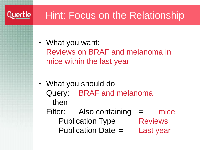#### Quertle |

## Hint: Focus on the Relationship

- What you want: Reviews on BRAF and melanoma in mice within the last year
- What you should do: Query: BRAF and melanoma then
	- Filter: Also containing = mice Publication Type = Reviews Publication Date = Last year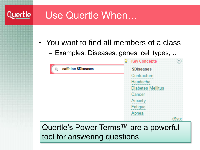#### Quertle Use Quertle When…

- You want to find all members of a class
	- Examples: Diseases; genes; cell types; …



tool for answering questions.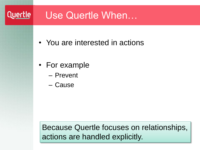#### Quertle

### Use Quertle When…

- You are interested in actions
- For example
	- Prevent
	- Cause

Because Quertle focuses on relationships, actions are handled explicitly.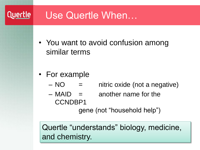#### **Quertle** Use Quertle When…

- You want to avoid confusion among similar terms
- For example
	- $NO =$  nitric oxide (not a negative)
	- $-$  MAID  $=$  another name for the CCNDBP1

gene (not "household help")

Quertle "understands" biology, medicine, and chemistry.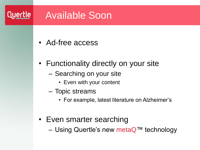#### Quertle | Available Soon

- Ad-free access
- Functionality directly on your site
	- Searching on your site
		- Even with your content
	- Topic streams
		- For example, latest literature on Alzheimer's
- Even smarter searching
	- Using Quertle's new metaQ™ technology